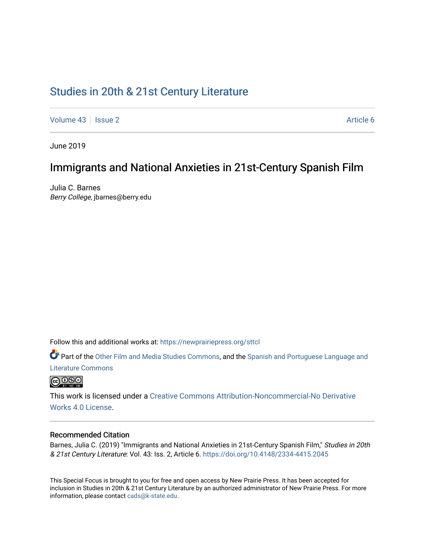# [Studies in 20th & 21st Century Literature](https://newprairiepress.org/sttcl)

[Volume 43](https://newprairiepress.org/sttcl/vol43) | [Issue 2](https://newprairiepress.org/sttcl/vol43/iss2) Article 6

June 2019

## Immigrants and National Anxieties in 21st-Century Spanish Film

Julia C. Barnes Berry College, jbarnes@berry.edu

Follow this and additional works at: [https://newprairiepress.org/sttcl](https://newprairiepress.org/sttcl?utm_source=newprairiepress.org%2Fsttcl%2Fvol43%2Fiss2%2F6&utm_medium=PDF&utm_campaign=PDFCoverPages) 

Part of the [Other Film and Media Studies Commons,](http://network.bepress.com/hgg/discipline/565?utm_source=newprairiepress.org%2Fsttcl%2Fvol43%2Fiss2%2F6&utm_medium=PDF&utm_campaign=PDFCoverPages) and the [Spanish and Portuguese Language and](http://network.bepress.com/hgg/discipline/546?utm_source=newprairiepress.org%2Fsttcl%2Fvol43%2Fiss2%2F6&utm_medium=PDF&utm_campaign=PDFCoverPages) [Literature Commons](http://network.bepress.com/hgg/discipline/546?utm_source=newprairiepress.org%2Fsttcl%2Fvol43%2Fiss2%2F6&utm_medium=PDF&utm_campaign=PDFCoverPages) 



This work is licensed under a [Creative Commons Attribution-Noncommercial-No Derivative](https://creativecommons.org/licenses/by-nc-nd/4.0/)  [Works 4.0 License](https://creativecommons.org/licenses/by-nc-nd/4.0/).

### Recommended Citation

Barnes, Julia C. (2019) "Immigrants and National Anxieties in 21st-Century Spanish Film," Studies in 20th & 21st Century Literature: Vol. 43: Iss. 2, Article 6. <https://doi.org/10.4148/2334-4415.2045>

This Special Focus is brought to you for free and open access by New Prairie Press. It has been accepted for inclusion in Studies in 20th & 21st Century Literature by an authorized administrator of New Prairie Press. For more information, please contact [cads@k-state.edu](mailto:cads@k-state.edu).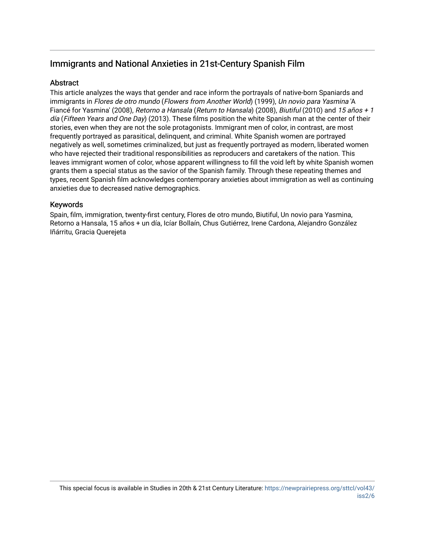## Immigrants and National Anxieties in 21st-Century Spanish Film

## **Abstract**

This article analyzes the ways that gender and race inform the portrayals of native-born Spaniards and immigrants in Flores de otro mundo (Flowers from Another World) (1999), Un novio para Yasmina 'A Fiancé for Yasmina' (2008), Retorno a Hansala (Return to Hansala) (2008), Biutiful (2010) and 15 años + 1 día (Fifteen Years and One Day) (2013). These films position the white Spanish man at the center of their stories, even when they are not the sole protagonists. Immigrant men of color, in contrast, are most frequently portrayed as parasitical, delinquent, and criminal. White Spanish women are portrayed negatively as well, sometimes criminalized, but just as frequently portrayed as modern, liberated women who have rejected their traditional responsibilities as reproducers and caretakers of the nation. This leaves immigrant women of color, whose apparent willingness to fill the void left by white Spanish women grants them a special status as the savior of the Spanish family. Through these repeating themes and types, recent Spanish film acknowledges contemporary anxieties about immigration as well as continuing anxieties due to decreased native demographics.

## Keywords

Spain, film, immigration, twenty-first century, Flores de otro mundo, Biutiful, Un novio para Yasmina, Retorno a Hansala, 15 años + un día, Icíar Bollaín, Chus Gutiérrez, Irene Cardona, Alejandro González Iñárritu, Gracia Querejeta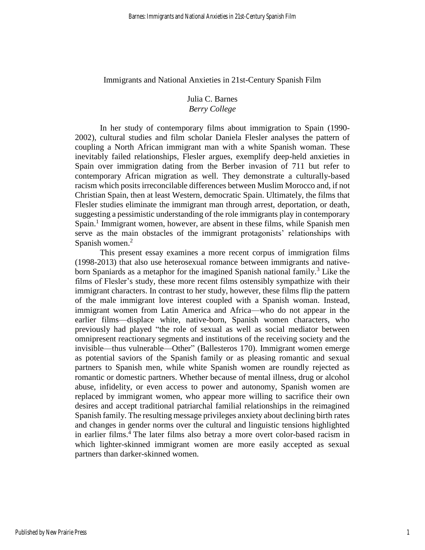Immigrants and National Anxieties in 21st-Century Spanish Film

## Julia C. Barnes *Berry College*

In her study of contemporary films about immigration to Spain (1990- 2002), cultural studies and film scholar Daniela Flesler analyses the pattern of coupling a North African immigrant man with a white Spanish woman. These inevitably failed relationships, Flesler argues, exemplify deep-held anxieties in Spain over immigration dating from the Berber invasion of 711 but refer to contemporary African migration as well. They demonstrate a culturally-based racism which posits irreconcilable differences between Muslim Morocco and, if not Christian Spain, then at least Western, democratic Spain. Ultimately, the films that Flesler studies eliminate the immigrant man through arrest, deportation, or death, suggesting a pessimistic understanding of the role immigrants play in contemporary Spain.<sup>1</sup> Immigrant women, however, are absent in these films, while Spanish men serve as the main obstacles of the immigrant protagonists' relationships with Spanish women.<sup>2</sup>

This present essay examines a more recent corpus of immigration films (1998-2013) that also use heterosexual romance between immigrants and nativeborn Spaniards as a metaphor for the imagined Spanish national family.<sup>3</sup> Like the films of Flesler's study, these more recent films ostensibly sympathize with their immigrant characters. In contrast to her study, however, these films flip the pattern of the male immigrant love interest coupled with a Spanish woman. Instead, immigrant women from Latin America and Africa—who do not appear in the earlier films—displace white, native-born, Spanish women characters, who previously had played "the role of sexual as well as social mediator between omnipresent reactionary segments and institutions of the receiving society and the invisible—thus vulnerable—Other" (Ballesteros 170). Immigrant women emerge as potential saviors of the Spanish family or as pleasing romantic and sexual partners to Spanish men, while white Spanish women are roundly rejected as romantic or domestic partners. Whether because of mental illness, drug or alcohol abuse, infidelity, or even access to power and autonomy, Spanish women are replaced by immigrant women, who appear more willing to sacrifice their own desires and accept traditional patriarchal familial relationships in the reimagined Spanish family. The resulting message privileges anxiety about declining birth rates and changes in gender norms over the cultural and linguistic tensions highlighted in earlier films.<sup>4</sup> The later films also betray a more overt color-based racism in which lighter-skinned immigrant women are more easily accepted as sexual partners than darker-skinned women.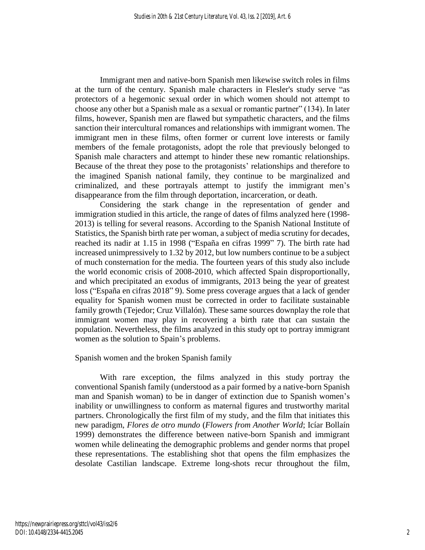Immigrant men and native-born Spanish men likewise switch roles in films at the turn of the century. Spanish male characters in Flesler's study serve "as protectors of a hegemonic sexual order in which women should not attempt to choose any other but a Spanish male as a sexual or romantic partner" (134). In later films, however, Spanish men are flawed but sympathetic characters, and the films sanction their intercultural romances and relationships with immigrant women. The immigrant men in these films, often former or current love interests or family members of the female protagonists, adopt the role that previously belonged to Spanish male characters and attempt to hinder these new romantic relationships. Because of the threat they pose to the protagonists' relationships and therefore to the imagined Spanish national family, they continue to be marginalized and criminalized, and these portrayals attempt to justify the immigrant men's disappearance from the film through deportation, incarceration, or death.

Considering the stark change in the representation of gender and immigration studied in this article, the range of dates of films analyzed here (1998- 2013) is telling for several reasons. According to the Spanish National Institute of Statistics, the Spanish birth rate per woman, a subject of media scrutiny for decades, reached its nadir at 1.15 in 1998 ("España en cifras 1999" 7). The birth rate had increased unimpressively to 1.32 by 2012, but low numbers continue to be a subject of much consternation for the media. The fourteen years of this study also include the world economic crisis of 2008-2010, which affected Spain disproportionally, and which precipitated an exodus of immigrants, 2013 being the year of greatest loss ("España en cifras 2018" 9). Some press coverage argues that a lack of gender equality for Spanish women must be corrected in order to facilitate sustainable family growth (Tejedor; Cruz Villalón). These same sources downplay the role that immigrant women may play in recovering a birth rate that can sustain the population. Nevertheless, the films analyzed in this study opt to portray immigrant women as the solution to Spain's problems.

### Spanish women and the broken Spanish family

With rare exception, the films analyzed in this study portray the conventional Spanish family (understood as a pair formed by a native-born Spanish man and Spanish woman) to be in danger of extinction due to Spanish women's inability or unwillingness to conform as maternal figures and trustworthy marital partners. Chronologically the first film of my study, and the film that initiates this new paradigm, *Flores de otro mundo* (*Flowers from Another World*; Icíar Bollaín 1999) demonstrates the difference between native-born Spanish and immigrant women while delineating the demographic problems and gender norms that propel these representations. The establishing shot that opens the film emphasizes the desolate Castilian landscape. Extreme long-shots recur throughout the film,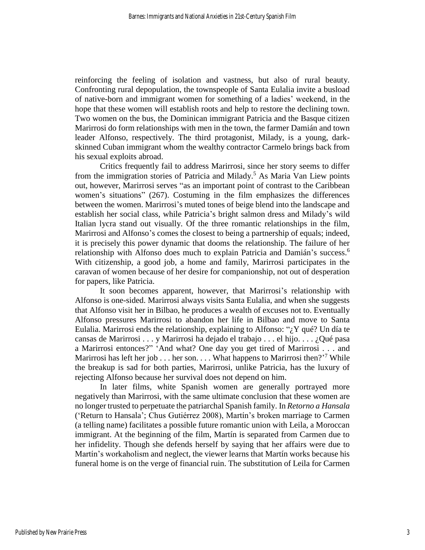reinforcing the feeling of isolation and vastness, but also of rural beauty. Confronting rural depopulation, the townspeople of Santa Eulalia invite a busload of native-born and immigrant women for something of a ladies' weekend, in the hope that these women will establish roots and help to restore the declining town. Two women on the bus, the Dominican immigrant Patricia and the Basque citizen Marirrosi do form relationships with men in the town, the farmer Damián and town leader Alfonso, respectively. The third protagonist, Milady, is a young, darkskinned Cuban immigrant whom the wealthy contractor Carmelo brings back from his sexual exploits abroad.

Critics frequently fail to address Marirrosi, since her story seems to differ from the immigration stories of Patricia and Milady.<sup>5</sup> As Maria Van Liew points out, however, Marirrosi serves "as an important point of contrast to the Caribbean women's situations" (267). Costuming in the film emphasizes the differences between the women. Marirrosi's muted tones of beige blend into the landscape and establish her social class, while Patricia's bright salmon dress and Milady's wild Italian lycra stand out visually. Of the three romantic relationships in the film, Marirrosi and Alfonso's comes the closest to being a partnership of equals; indeed, it is precisely this power dynamic that dooms the relationship. The failure of her relationship with Alfonso does much to explain Patricia and Damián's success.<sup>6</sup> With citizenship, a good job, a home and family, Marirrosi participates in the caravan of women because of her desire for companionship, not out of desperation for papers, like Patricia.

It soon becomes apparent, however, that Marirrosi's relationship with Alfonso is one-sided. Marirrosi always visits Santa Eulalia, and when she suggests that Alfonso visit her in Bilbao, he produces a wealth of excuses not to. Eventually Alfonso pressures Marirrosi to abandon her life in Bilbao and move to Santa Eulalia. Marirrosi ends the relationship, explaining to Alfonso: " $\chi Y$  qué? Un día te cansas de Marirrosi . . . y Marirrosi ha dejado el trabajo . . . el hijo. . . . ¿Qué pasa a Marirrosi entonces?" 'And what? One day you get tired of Marirrosi . . . and Marirrosi has left her job  $\dots$  her son.  $\dots$  What happens to Marirrosi then?<sup>7</sup> While the breakup is sad for both parties, Marirrosi, unlike Patricia, has the luxury of rejecting Alfonso because her survival does not depend on him.

In later films, white Spanish women are generally portrayed more negatively than Marirrosi, with the same ultimate conclusion that these women are no longer trusted to perpetuate the patriarchal Spanish family. In *Retorno a Hansala* ('Return to Hansala'; Chus Gutiérrez 2008), Martín's broken marriage to Carmen (a telling name) facilitates a possible future romantic union with Leila, a Moroccan immigrant. At the beginning of the film, Martín is separated from Carmen due to her infidelity. Though she defends herself by saying that her affairs were due to Martín's workaholism and neglect, the viewer learns that Martín works because his funeral home is on the verge of financial ruin. The substitution of Leila for Carmen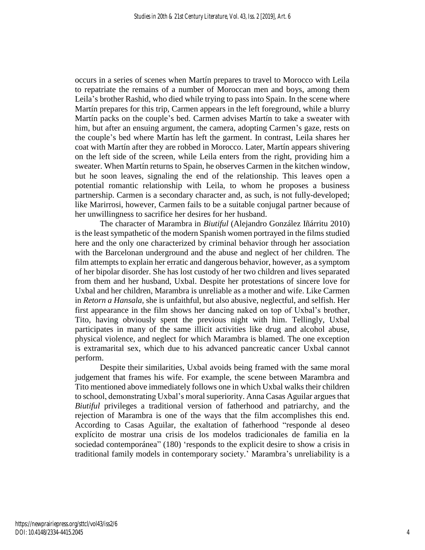occurs in a series of scenes when Martín prepares to travel to Morocco with Leila to repatriate the remains of a number of Moroccan men and boys, among them Leila's brother Rashid, who died while trying to pass into Spain. In the scene where Martín prepares for this trip, Carmen appears in the left foreground, while a blurry Martín packs on the couple's bed. Carmen advises Martín to take a sweater with him, but after an ensuing argument, the camera, adopting Carmen's gaze, rests on the couple's bed where Martín has left the garment. In contrast, Leila shares her coat with Martín after they are robbed in Morocco. Later, Martín appears shivering on the left side of the screen, while Leila enters from the right, providing him a sweater. When Martín returns to Spain, he observes Carmen in the kitchen window, but he soon leaves, signaling the end of the relationship. This leaves open a potential romantic relationship with Leila, to whom he proposes a business partnership. Carmen is a secondary character and, as such, is not fully-developed; like Marirrosi, however, Carmen fails to be a suitable conjugal partner because of her unwillingness to sacrifice her desires for her husband.

The character of Marambra in *Biutiful* (Alejandro González Iñárritu 2010) is the least sympathetic of the modern Spanish women portrayed in the films studied here and the only one characterized by criminal behavior through her association with the Barcelonan underground and the abuse and neglect of her children. The film attempts to explain her erratic and dangerous behavior, however, as a symptom of her bipolar disorder. She has lost custody of her two children and lives separated from them and her husband, Uxbal. Despite her protestations of sincere love for Uxbal and her children, Marambra is unreliable as a mother and wife. Like Carmen in *Retorn a Hansala,* she is unfaithful, but also abusive, neglectful, and selfish. Her first appearance in the film shows her dancing naked on top of Uxbal's brother, Tito, having obviously spent the previous night with him. Tellingly, Uxbal participates in many of the same illicit activities like drug and alcohol abuse, physical violence, and neglect for which Marambra is blamed. The one exception is extramarital sex, which due to his advanced pancreatic cancer Uxbal cannot perform.

Despite their similarities, Uxbal avoids being framed with the same moral judgement that frames his wife. For example, the scene between Marambra and Tito mentioned above immediately follows one in which Uxbal walks their children to school, demonstrating Uxbal's moral superiority. Anna Casas Aguilar argues that *Biutiful* privileges a traditional version of fatherhood and patriarchy, and the rejection of Marambra is one of the ways that the film accomplishes this end. According to Casas Aguilar, the exaltation of fatherhood "responde al deseo explícito de mostrar una crisis de los modelos tradicionales de familia en la sociedad contemporánea" (180) 'responds to the explicit desire to show a crisis in traditional family models in contemporary society.' Marambra's unreliability is a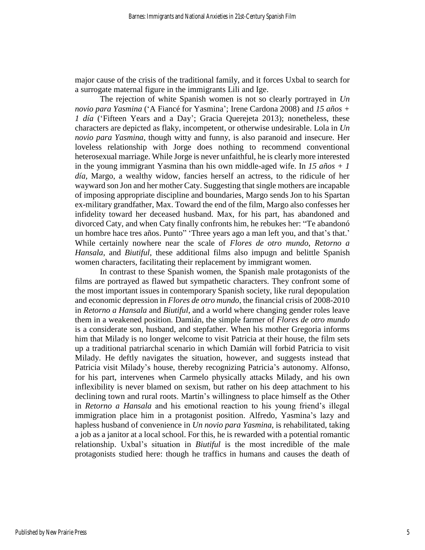major cause of the crisis of the traditional family, and it forces Uxbal to search for a surrogate maternal figure in the immigrants Lili and Ige.

The rejection of white Spanish women is not so clearly portrayed in *Un novio para Yasmina* ('A Fiancé for Yasmina'; Irene Cardona 2008) and *15 años + 1 día* ('Fifteen Years and a Day'; Gracia Querejeta 2013); nonetheless, these characters are depicted as flaky, incompetent, or otherwise undesirable. Lola in *Un novio para Yasmina*, though witty and funny, is also paranoid and insecure. Her loveless relationship with Jorge does nothing to recommend conventional heterosexual marriage. While Jorge is never unfaithful, he is clearly more interested in the young immigrant Yasmina than his own middle-aged wife. In *15 años + 1 día,* Margo, a wealthy widow, fancies herself an actress, to the ridicule of her wayward son Jon and her mother Caty. Suggesting that single mothers are incapable of imposing appropriate discipline and boundaries, Margo sends Jon to his Spartan ex-military grandfather, Max. Toward the end of the film, Margo also confesses her infidelity toward her deceased husband. Max, for his part, has abandoned and divorced Caty, and when Caty finally confronts him, he rebukes her: "Te abandonó un hombre hace tres años. Punto" 'Three years ago a man left you, and that's that.' While certainly nowhere near the scale of *Flores de otro mundo*, *Retorno a Hansala*, and *Biutiful*, these additional films also impugn and belittle Spanish women characters, facilitating their replacement by immigrant women.

In contrast to these Spanish women, the Spanish male protagonists of the films are portrayed as flawed but sympathetic characters. They confront some of the most important issues in contemporary Spanish society, like rural depopulation and economic depression in *Flores de otro mundo*, the financial crisis of 2008-2010 in *Retorno a Hansala* and *Biutiful*, and a world where changing gender roles leave them in a weakened position. Damián, the simple farmer of *Flores de otro mundo* is a considerate son, husband, and stepfather. When his mother Gregoria informs him that Milady is no longer welcome to visit Patricia at their house, the film sets up a traditional patriarchal scenario in which Damián will forbid Patricia to visit Milady. He deftly navigates the situation, however, and suggests instead that Patricia visit Milady's house, thereby recognizing Patricia's autonomy. Alfonso, for his part, intervenes when Carmelo physically attacks Milady, and his own inflexibility is never blamed on sexism, but rather on his deep attachment to his declining town and rural roots. Martín's willingness to place himself as the Other in *Retorno a Hansala* and his emotional reaction to his young friend's illegal immigration place him in a protagonist position. Alfredo, Yasmina's lazy and hapless husband of convenience in *Un novio para Yasmina*, is rehabilitated, taking a job as a janitor at a local school. For this, he is rewarded with a potential romantic relationship. Uxbal's situation in *Biutiful* is the most incredible of the male protagonists studied here: though he traffics in humans and causes the death of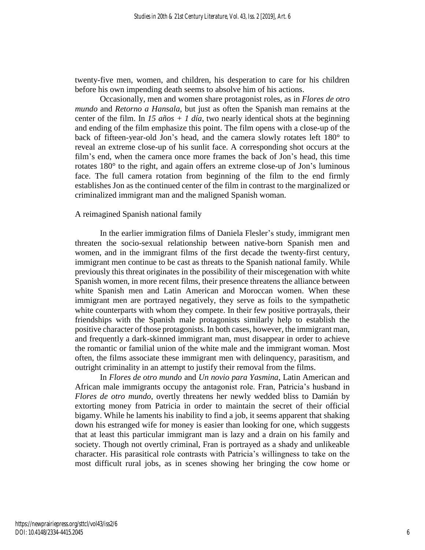twenty-five men, women, and children, his desperation to care for his children before his own impending death seems to absolve him of his actions.

Occasionally, men and women share protagonist roles, as in *Flores de otro mundo* and *Retorno a Hansala*, but just as often the Spanish man remains at the center of the film. In  $15 \text{ años} + 1 \text{ día}$ , two nearly identical shots at the beginning and ending of the film emphasize this point. The film opens with a close-up of the back of fifteen-year-old Jon's head, and the camera slowly rotates left 180° to reveal an extreme close-up of his sunlit face. A corresponding shot occurs at the film's end, when the camera once more frames the back of Jon's head, this time rotates 180° to the right, and again offers an extreme close-up of Jon's luminous face. The full camera rotation from beginning of the film to the end firmly establishes Jon as the continued center of the film in contrast to the marginalized or criminalized immigrant man and the maligned Spanish woman.

### A reimagined Spanish national family

In the earlier immigration films of Daniela Flesler's study, immigrant men threaten the socio-sexual relationship between native-born Spanish men and women, and in the immigrant films of the first decade the twenty-first century, immigrant men continue to be cast as threats to the Spanish national family. While previously this threat originates in the possibility of their miscegenation with white Spanish women, in more recent films, their presence threatens the alliance between white Spanish men and Latin American and Moroccan women. When these immigrant men are portrayed negatively, they serve as foils to the sympathetic white counterparts with whom they compete. In their few positive portrayals, their friendships with the Spanish male protagonists similarly help to establish the positive character of those protagonists. In both cases, however, the immigrant man, and frequently a dark-skinned immigrant man, must disappear in order to achieve the romantic or familial union of the white male and the immigrant woman. Most often, the films associate these immigrant men with delinquency, parasitism, and outright criminality in an attempt to justify their removal from the films.

In *Flores de otro mundo* and *Un novio para Yasmina*, Latin American and African male immigrants occupy the antagonist role. Fran, Patricia's husband in *Flores de otro mundo*, overtly threatens her newly wedded bliss to Damián by extorting money from Patricia in order to maintain the secret of their official bigamy. While he laments his inability to find a job, it seems apparent that shaking down his estranged wife for money is easier than looking for one, which suggests that at least this particular immigrant man is lazy and a drain on his family and society. Though not overtly criminal, Fran is portrayed as a shady and unlikeable character. His parasitical role contrasts with Patricia's willingness to take on the most difficult rural jobs, as in scenes showing her bringing the cow home or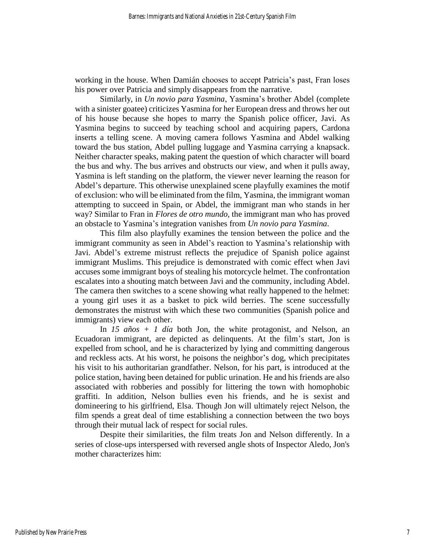working in the house. When Damián chooses to accept Patricia's past, Fran loses his power over Patricia and simply disappears from the narrative.

Similarly, in *Un novio para Yasmina*, Yasmina's brother Abdel (complete with a sinister goatee) criticizes Yasmina for her European dress and throws her out of his house because she hopes to marry the Spanish police officer, Javi. As Yasmina begins to succeed by teaching school and acquiring papers, Cardona inserts a telling scene. A moving camera follows Yasmina and Abdel walking toward the bus station, Abdel pulling luggage and Yasmina carrying a knapsack. Neither character speaks, making patent the question of which character will board the bus and why. The bus arrives and obstructs our view, and when it pulls away, Yasmina is left standing on the platform, the viewer never learning the reason for Abdel's departure. This otherwise unexplained scene playfully examines the motif of exclusion: who will be eliminated from the film, Yasmina, the immigrant woman attempting to succeed in Spain, or Abdel, the immigrant man who stands in her way? Similar to Fran in *Flores de otro mundo*, the immigrant man who has proved an obstacle to Yasmina's integration vanishes from *Un novio para Yasmina*.

This film also playfully examines the tension between the police and the immigrant community as seen in Abdel's reaction to Yasmina's relationship with Javi. Abdel's extreme mistrust reflects the prejudice of Spanish police against immigrant Muslims. This prejudice is demonstrated with comic effect when Javi accuses some immigrant boys of stealing his motorcycle helmet. The confrontation escalates into a shouting match between Javi and the community, including Abdel. The camera then switches to a scene showing what really happened to the helmet: a young girl uses it as a basket to pick wild berries. The scene successfully demonstrates the mistrust with which these two communities (Spanish police and immigrants) view each other.

In *15 años + 1 día* both Jon, the white protagonist, and Nelson, an Ecuadoran immigrant, are depicted as delinquents. At the film's start, Jon is expelled from school, and he is characterized by lying and committing dangerous and reckless acts. At his worst, he poisons the neighbor's dog, which precipitates his visit to his authoritarian grandfather. Nelson, for his part, is introduced at the police station, having been detained for public urination. He and his friends are also associated with robberies and possibly for littering the town with homophobic graffiti. In addition, Nelson bullies even his friends, and he is sexist and domineering to his girlfriend, Elsa. Though Jon will ultimately reject Nelson, the film spends a great deal of time establishing a connection between the two boys through their mutual lack of respect for social rules.

Despite their similarities, the film treats Jon and Nelson differently. In a series of close-ups interspersed with reversed angle shots of Inspector Aledo, Jon's mother characterizes him: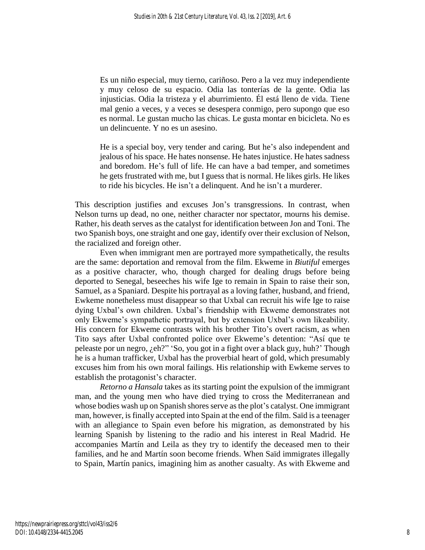Es un niño especial, muy tierno, cariñoso. Pero a la vez muy independiente y muy celoso de su espacio. Odia las tonterías de la gente. Odia las injusticias. Odia la tristeza y el aburrimiento. Él está lleno de vida. Tiene mal genio a veces, y a veces se desespera conmigo, pero supongo que eso es normal. Le gustan mucho las chicas. Le gusta montar en bicicleta. No es un delincuente. Y no es un asesino.

He is a special boy, very tender and caring. But he's also independent and jealous of his space. He hates nonsense. He hates injustice. He hates sadness and boredom. He's full of life. He can have a bad temper, and sometimes he gets frustrated with me, but I guess that is normal. He likes girls. He likes to ride his bicycles. He isn't a delinquent. And he isn't a murderer.

This description justifies and excuses Jon's transgressions. In contrast, when Nelson turns up dead, no one, neither character nor spectator, mourns his demise. Rather, his death serves as the catalyst for identification between Jon and Toni. The two Spanish boys, one straight and one gay, identify over their exclusion of Nelson, the racialized and foreign other.

Even when immigrant men are portrayed more sympathetically, the results are the same: deportation and removal from the film. Ekweme in *Biutiful* emerges as a positive character, who, though charged for dealing drugs before being deported to Senegal, beseeches his wife Ige to remain in Spain to raise their son, Samuel, as a Spaniard. Despite his portrayal as a loving father, husband, and friend, Ewkeme nonetheless must disappear so that Uxbal can recruit his wife Ige to raise dying Uxbal's own children. Uxbal's friendship with Ekweme demonstrates not only Ekweme's sympathetic portrayal, but by extension Uxbal's own likeability. His concern for Ekweme contrasts with his brother Tito's overt racism, as when Tito says after Uxbal confronted police over Ekweme's detention: "Así que te peleaste por un negro, ¿eh?" 'So, you got in a fight over a black guy, huh?' Though he is a human trafficker, Uxbal has the proverbial heart of gold, which presumably excuses him from his own moral failings. His relationship with Ewkeme serves to establish the protagonist's character.

*Retorno a Hansala* takes as its starting point the expulsion of the immigrant man, and the young men who have died trying to cross the Mediterranean and whose bodies wash up on Spanish shores serve as the plot's catalyst. One immigrant man, however, is finally accepted into Spain at the end of the film. Saïd is a teenager with an allegiance to Spain even before his migration, as demonstrated by his learning Spanish by listening to the radio and his interest in Real Madrid. He accompanies Martín and Leila as they try to identify the deceased men to their families, and he and Martín soon become friends. When Saïd immigrates illegally to Spain, Martín panics, imagining him as another casualty. As with Ekweme and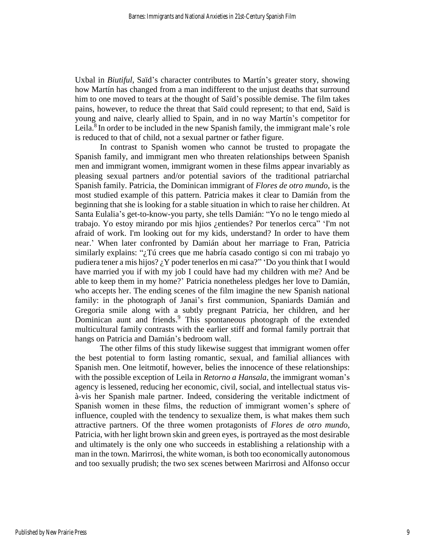Uxbal in *Biutiful*, Saïd's character contributes to Martín's greater story, showing how Martín has changed from a man indifferent to the unjust deaths that surround him to one moved to tears at the thought of Saïd's possible demise. The film takes pains, however, to reduce the threat that Saïd could represent; to that end, Saïd is young and naive, clearly allied to Spain, and in no way Martín's competitor for Leila.<sup>8</sup> In order to be included in the new Spanish family, the immigrant male's role is reduced to that of child, not a sexual partner or father figure.

In contrast to Spanish women who cannot be trusted to propagate the Spanish family, and immigrant men who threaten relationships between Spanish men and immigrant women, immigrant women in these films appear invariably as pleasing sexual partners and/or potential saviors of the traditional patriarchal Spanish family. Patricia, the Dominican immigrant of *Flores de otro mundo*, is the most studied example of this pattern. Patricia makes it clear to Damián from the beginning that she is looking for a stable situation in which to raise her children. At Santa Eulalia's get-to-know-you party, she tells Damián: "Yo no le tengo miedo al trabajo. Yo estoy mirando por mis hjios ¿entiendes? Por tenerlos cerca" 'I'm not afraid of work. I'm looking out for my kids, understand? In order to have them near.' When later confronted by Damián about her marriage to Fran, Patricia similarly explains: "¿Tú crees que me habría casado contigo si con mi trabajo yo pudiera tener a mis hijos?  $\chi$ Y poder tenerlos en mi casa?" 'Do you think that I would have married you if with my job I could have had my children with me? And be able to keep them in my home?' Patricia nonetheless pledges her love to Damián, who accepts her. The ending scenes of the film imagine the new Spanish national family: in the photograph of Janai's first communion, Spaniards Damián and Gregoria smile along with a subtly pregnant Patricia, her children, and her Dominican aunt and friends.<sup>9</sup> This spontaneous photograph of the extended multicultural family contrasts with the earlier stiff and formal family portrait that hangs on Patricia and Damián's bedroom wall.

The other films of this study likewise suggest that immigrant women offer the best potential to form lasting romantic, sexual, and familial alliances with Spanish men. One leitmotif, however, belies the innocence of these relationships: with the possible exception of Leila in *Retorno a Hansala*, the immigrant woman's agency is lessened, reducing her economic, civil, social, and intellectual status visà-vis her Spanish male partner. Indeed, considering the veritable indictment of Spanish women in these films, the reduction of immigrant women's sphere of influence, coupled with the tendency to sexualize them, is what makes them such attractive partners. Of the three women protagonists of *Flores de otro mundo,*  Patricia, with her light brown skin and green eyes, is portrayed as the most desirable and ultimately is the only one who succeeds in establishing a relationship with a man in the town. Marirrosi, the white woman, is both too economically autonomous and too sexually prudish; the two sex scenes between Marirrosi and Alfonso occur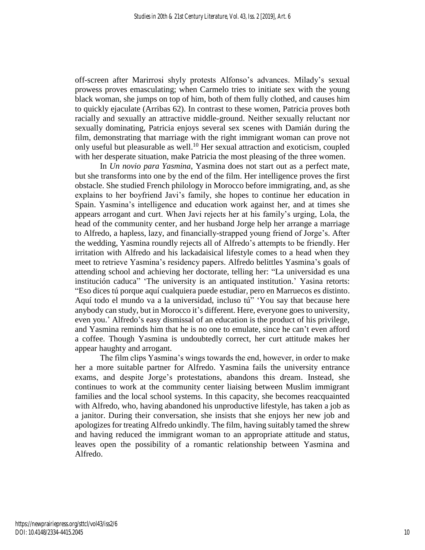off-screen after Marirrosi shyly protests Alfonso's advances. Milady's sexual prowess proves emasculating; when Carmelo tries to initiate sex with the young black woman, she jumps on top of him, both of them fully clothed, and causes him to quickly ejaculate (Arribas 62). In contrast to these women, Patricia proves both racially and sexually an attractive middle-ground. Neither sexually reluctant nor sexually dominating, Patricia enjoys several sex scenes with Damián during the film, demonstrating that marriage with the right immigrant woman can prove not only useful but pleasurable as well. <sup>10</sup> Her sexual attraction and exoticism, coupled with her desperate situation, make Patricia the most pleasing of the three women.

In *Un novio para Yasmina*, Yasmina does not start out as a perfect mate, but she transforms into one by the end of the film. Her intelligence proves the first obstacle. She studied French philology in Morocco before immigrating, and, as she explains to her boyfriend Javi's family, she hopes to continue her education in Spain. Yasmina's intelligence and education work against her, and at times she appears arrogant and curt. When Javi rejects her at his family's urging, Lola, the head of the community center, and her husband Jorge help her arrange a marriage to Alfredo, a hapless, lazy, and financially-strapped young friend of Jorge's. After the wedding, Yasmina roundly rejects all of Alfredo's attempts to be friendly. Her irritation with Alfredo and his lackadaisical lifestyle comes to a head when they meet to retrieve Yasmina's residency papers. Alfredo belittles Yasmina's goals of attending school and achieving her doctorate, telling her: "La universidad es una institución caduca" 'The university is an antiquated institution.' Yasina retorts: "Eso dices tú porque aquí cualquiera puede estudiar, pero en Marruecos es distinto. Aquí todo el mundo va a la universidad, incluso tú" 'You say that because here anybody can study, but in Morocco it's different. Here, everyone goes to university, even you.' Alfredo's easy dismissal of an education is the product of his privilege, and Yasmina reminds him that he is no one to emulate, since he can't even afford a coffee. Though Yasmina is undoubtedly correct, her curt attitude makes her appear haughty and arrogant.

The film clips Yasmina's wings towards the end, however, in order to make her a more suitable partner for Alfredo. Yasmina fails the university entrance exams, and despite Jorge's protestations, abandons this dream. Instead, she continues to work at the community center liaising between Muslim immigrant families and the local school systems. In this capacity, she becomes reacquainted with Alfredo, who, having abandoned his unproductive lifestyle, has taken a job as a janitor. During their conversation, she insists that she enjoys her new job and apologizes for treating Alfredo unkindly. The film, having suitably tamed the shrew and having reduced the immigrant woman to an appropriate attitude and status, leaves open the possibility of a romantic relationship between Yasmina and Alfredo.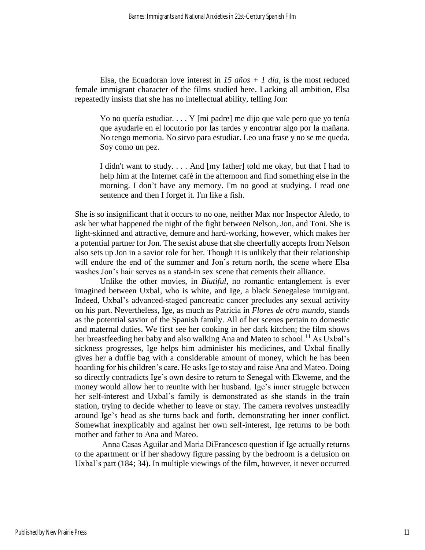Elsa, the Ecuadoran love interest in  $15 \text{ años} + 1 \text{ día}$ , is the most reduced female immigrant character of the films studied here. Lacking all ambition, Elsa repeatedly insists that she has no intellectual ability, telling Jon:

Yo no quería estudiar. . . . Y [mi padre] me dijo que vale pero que yo tenía que ayudarle en el locutorio por las tardes y encontrar algo por la mañana. No tengo memoria. No sirvo para estudiar. Leo una frase y no se me queda. Soy como un pez.

I didn't want to study. . . . And [my father] told me okay, but that I had to help him at the Internet café in the afternoon and find something else in the morning. I don't have any memory. I'm no good at studying. I read one sentence and then I forget it. I'm like a fish.

She is so insignificant that it occurs to no one, neither Max nor Inspector Aledo, to ask her what happened the night of the fight between Nelson, Jon, and Toni. She is light-skinned and attractive, demure and hard-working, however, which makes her a potential partner for Jon. The sexist abuse that she cheerfully accepts from Nelson also sets up Jon in a savior role for her. Though it is unlikely that their relationship will endure the end of the summer and Jon's return north, the scene where Elsa washes Jon's hair serves as a stand-in sex scene that cements their alliance.

Unlike the other movies, in *Biutiful*, no romantic entanglement is ever imagined between Uxbal, who is white, and Ige, a black Senegalese immigrant. Indeed, Uxbal's advanced-staged pancreatic cancer precludes any sexual activity on his part. Nevertheless, Ige, as much as Patricia in *Flores de otro mundo*, stands as the potential savior of the Spanish family. All of her scenes pertain to domestic and maternal duties. We first see her cooking in her dark kitchen; the film shows her breastfeeding her baby and also walking Ana and Mateo to school.<sup>11</sup> As Uxbal's sickness progresses, Ige helps him administer his medicines, and Uxbal finally gives her a duffle bag with a considerable amount of money, which he has been hoarding for his children's care. He asks Ige to stay and raise Ana and Mateo. Doing so directly contradicts Ige's own desire to return to Senegal with Ekweme, and the money would allow her to reunite with her husband. Ige's inner struggle between her self-interest and Uxbal's family is demonstrated as she stands in the train station, trying to decide whether to leave or stay. The camera revolves unsteadily around Ige's head as she turns back and forth, demonstrating her inner conflict. Somewhat inexplicably and against her own self-interest, Ige returns to be both mother and father to Ana and Mateo.

Anna Casas Aguilar and Maria DiFrancesco question if Ige actually returns to the apartment or if her shadowy figure passing by the bedroom is a delusion on Uxbal's part (184; 34). In multiple viewings of the film, however, it never occurred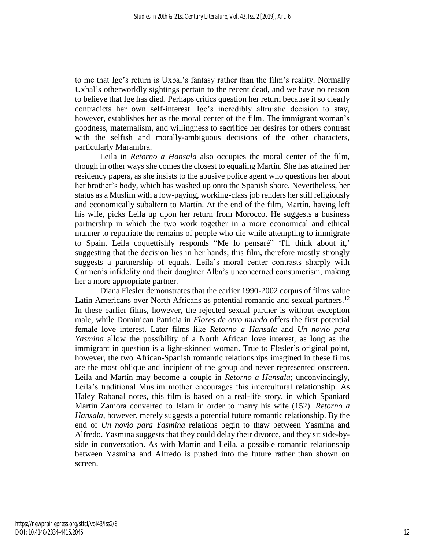to me that Ige's return is Uxbal's fantasy rather than the film's reality. Normally Uxbal's otherworldly sightings pertain to the recent dead, and we have no reason to believe that Ige has died. Perhaps critics question her return because it so clearly contradicts her own self-interest. Ige's incredibly altruistic decision to stay, however, establishes her as the moral center of the film. The immigrant woman's goodness, maternalism, and willingness to sacrifice her desires for others contrast with the selfish and morally-ambiguous decisions of the other characters, particularly Marambra.

Leila in *Retorno a Hansala* also occupies the moral center of the film, though in other ways she comes the closest to equaling Martín. She has attained her residency papers, as she insists to the abusive police agent who questions her about her brother's body, which has washed up onto the Spanish shore. Nevertheless, her status as a Muslim with a low-paying, working-class job renders her still religiously and economically subaltern to Martín. At the end of the film, Martín, having left his wife, picks Leila up upon her return from Morocco. He suggests a business partnership in which the two work together in a more economical and ethical manner to repatriate the remains of people who die while attempting to immigrate to Spain. Leila coquettishly responds "Me lo pensaré" 'I'll think about it,' suggesting that the decision lies in her hands; this film, therefore mostly strongly suggests a partnership of equals. Leila's moral center contrasts sharply with Carmen's infidelity and their daughter Alba's unconcerned consumerism, making her a more appropriate partner.

Diana Flesler demonstrates that the earlier 1990-2002 corpus of films value Latin Americans over North Africans as potential romantic and sexual partners.<sup>12</sup> In these earlier films, however, the rejected sexual partner is without exception male, while Dominican Patricia in *Flores de otro mundo* offers the first potential female love interest. Later films like *Retorno a Hansala* and *Un novio para Yasmina* allow the possibility of a North African love interest, as long as the immigrant in question is a light-skinned woman. True to Flesler's original point, however, the two African-Spanish romantic relationships imagined in these films are the most oblique and incipient of the group and never represented onscreen. Leila and Martín may become a couple in *Retorno a Hansala*; unconvincingly, Leila's traditional Muslim mother encourages this intercultural relationship. As Haley Rabanal notes, this film is based on a real-life story, in which Spaniard Martín Zamora converted to Islam in order to marry his wife (152). *Retorno a Hansala*, however, merely suggests a potential future romantic relationship. By the end of *Un novio para Yasmina* relations begin to thaw between Yasmina and Alfredo. Yasmina suggests that they could delay their divorce, and they sit side-byside in conversation. As with Martín and Leila, a possible romantic relationship between Yasmina and Alfredo is pushed into the future rather than shown on screen.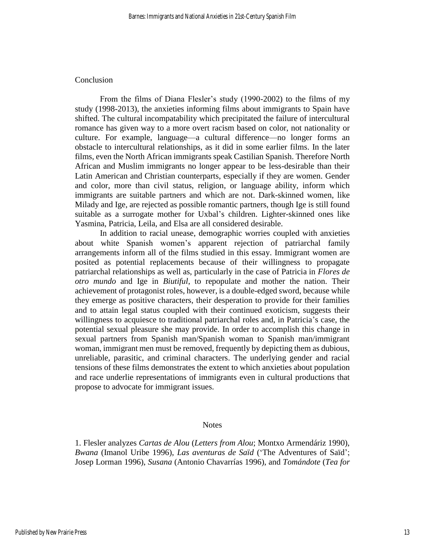#### Conclusion

From the films of Diana Flesler's study (1990-2002) to the films of my study (1998-2013), the anxieties informing films about immigrants to Spain have shifted. The cultural incompatability which precipitated the failure of intercultural romance has given way to a more overt racism based on color, not nationality or culture. For example, language—a cultural difference—no longer forms an obstacle to intercultural relationships, as it did in some earlier films. In the later films, even the North African immigrants speak Castilian Spanish. Therefore North African and Muslim immigrants no longer appear to be less-desirable than their Latin American and Christian counterparts, especially if they are women. Gender and color, more than civil status, religion, or language ability, inform which immigrants are suitable partners and which are not. Dark-skinned women, like Milady and Ige, are rejected as possible romantic partners, though Ige is still found suitable as a surrogate mother for Uxbal's children. Lighter-skinned ones like Yasmina, Patricia, Leila, and Elsa are all considered desirable.

In addition to racial unease, demographic worries coupled with anxieties about white Spanish women's apparent rejection of patriarchal family arrangements inform all of the films studied in this essay. Immigrant women are posited as potential replacements because of their willingness to propagate patriarchal relationships as well as, particularly in the case of Patricia in *Flores de otro mundo* and Ige in *Biutiful*, to repopulate and mother the nation. Their achievement of protagonist roles, however, is a double-edged sword, because while they emerge as positive characters, their desperation to provide for their families and to attain legal status coupled with their continued exoticism, suggests their willingness to acquiesce to traditional patriarchal roles and, in Patricia's case, the potential sexual pleasure she may provide. In order to accomplish this change in sexual partners from Spanish man/Spanish woman to Spanish man/immigrant woman, immigrant men must be removed, frequently by depicting them as dubious, unreliable, parasitic, and criminal characters. The underlying gender and racial tensions of these films demonstrates the extent to which anxieties about population and race underlie representations of immigrants even in cultural productions that propose to advocate for immigrant issues.

#### **Notes**

1. Flesler analyzes *Cartas de Alou* (*Letters from Alou*; Montxo Armendáriz 1990), *Bwana* (Imanol Uribe 1996), *Las aventuras de Saïd* ('The Adventures of Saïd'; Josep Lorman 1996), *Susana* (Antonio Chavarrías 1996), and *Tomándote* (*Tea for*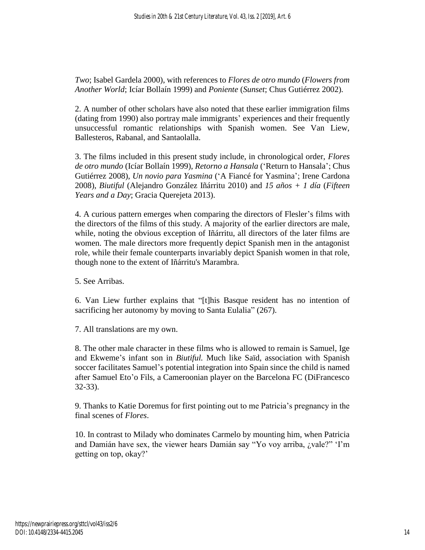*Two*; Isabel Gardela 2000), with references to *Flores de otro mundo* (*Flowers from Another World*; Icíar Bollaín 1999) and *Poniente* (*Sunset*; Chus Gutiérrez 2002)*.*

2. A number of other scholars have also noted that these earlier immigration films (dating from 1990) also portray male immigrants' experiences and their frequently unsuccessful romantic relationships with Spanish women. See Van Liew, Ballesteros, Rabanal, and Santaolalla.

3. The films included in this present study include, in chronological order, *Flores de otro mundo* (Icíar Bollaín 1999), *Retorno a Hansala* ('Return to Hansala'; Chus Gutiérrez 2008), *Un novio para Yasmina* ('A Fiancé for Yasmina'; Irene Cardona 2008), *Biutiful* (Alejandro González Iñárritu 2010) and *15 años + 1 día* (*Fifteen Years and a Day*; Gracia Querejeta 2013).

4. A curious pattern emerges when comparing the directors of Flesler's films with the directors of the films of this study. A majority of the earlier directors are male, while, noting the obvious exception of Iñárritu, all directors of the later films are women. The male directors more frequently depict Spanish men in the antagonist role, while their female counterparts invariably depict Spanish women in that role, though none to the extent of Iñárritu's Marambra.

5. See Arribas.

6. Van Liew further explains that "[t]his Basque resident has no intention of sacrificing her autonomy by moving to Santa Eulalia" (267).

7. All translations are my own.

8. The other male character in these films who is allowed to remain is Samuel, Ige and Ekweme's infant son in *Biutiful.* Much like Saïd, association with Spanish soccer facilitates Samuel's potential integration into Spain since the child is named after Samuel Eto'o Fils, a Cameroonian player on the Barcelona FC (DiFrancesco 32-33).

9. Thanks to Katie Doremus for first pointing out to me Patricia's pregnancy in the final scenes of *Flores*.

10. In contrast to Milady who dominates Carmelo by mounting him, when Patricia and Damián have sex, the viewer hears Damián say "Yo voy arriba, ¿vale?" 'I'm getting on top, okay?'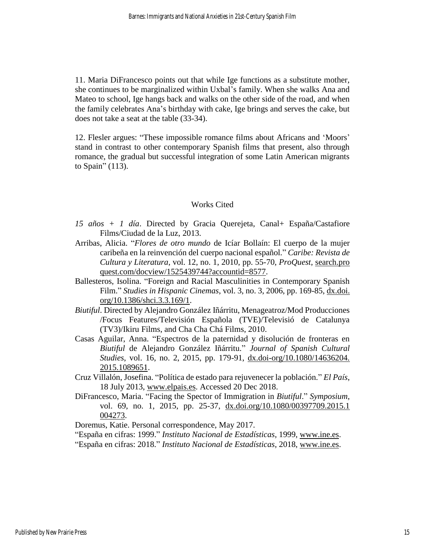11. Maria DiFrancesco points out that while Ige functions as a substitute mother, she continues to be marginalized within Uxbal's family. When she walks Ana and Mateo to school, Ige hangs back and walks on the other side of the road, and when the family celebrates Ana's birthday with cake, Ige brings and serves the cake, but does not take a seat at the table (33-34).

12. Flesler argues: "These impossible romance films about Africans and 'Moors' stand in contrast to other contemporary Spanish films that present, also through romance, the gradual but successful integration of some Latin American migrants to Spain" (113).

### Works Cited

- *15 años + 1 día*. Directed by Gracia Querejeta, Canal+ España[/Castafiore](https://www.imdb.com/company/co0231411?ref_=cons_tt_dt_co_2)  [Films](https://www.imdb.com/company/co0231411?ref_=cons_tt_dt_co_2)[/Ciudad de la Luz,](https://www.imdb.com/company/co0206421?ref_=cons_tt_dt_co_3) 2013.
- Arribas, Alicia. "*Flores de otro mundo* de Icíar Bollaín: El cuerpo de la mujer caribeña en la reinvención del cuerpo nacional español." *Caribe: Revista de Cultura y Literatura*, vol. 12, no. 1, 2010, pp. 55-70, *ProQuest*, [search.pro](https://search.proquest.com/docview/1525439744?accountid=8577) [quest.com/docview/1525439744?accountid=8577.](https://search.proquest.com/docview/1525439744?accountid=8577)
- Ballesteros, Isolina. "Foreign and Racial Masculinities in Contemporary Spanish Film." *Studies in Hispanic Cinemas*, vol. 3, no. 3, 2006, pp. 169-85, [dx.doi.](http://dx.doi.org/10.1386/shci.3.3.169/1) [org/10.1386/shci.3.3.169/1.](http://dx.doi.org/10.1386/shci.3.3.169/1)
- *Biutiful*. Directed by Alejandro González Iñárritu, Menageatroz/Mod Producciones /Focus Features/Televisión Española (TVE)/Televisió de Catalunya (TV3)/Ikiru Films, and Cha Cha Chá Films, 2010.
- Casas Aguilar, Anna. "Espectros de la paternidad y disolución de fronteras en *Biutiful* de Alejandro González Iñárritu." *Journal of Spanish Cultural Studies*, vol. 16, no. 2, 2015, pp. 179-91, [dx.doi-org/10.1080/14636204.](https://doi-org.ucheck.berry.edu/10.1080/14636204.2015.1089651) [2015.1089651.](https://doi-org.ucheck.berry.edu/10.1080/14636204.2015.1089651)
- Cruz Villalón, Josefina. "Política de estado para rejuvenecer la población." *El País*, 18 July 2013, [www.elpais.es.](http://www.elpais.es/) Accessed 20 Dec 2018.
- DiFrancesco, Maria. "Facing the Spector of Immigration in *Biutiful*." *Symposium*, vol. 69, no. 1, 2015, pp. 25-37, [dx.doi.org/10.1080/00397709.2015.1](http://dx.doi.org/10.1080/00397709.2015.1004273) [004273.](http://dx.doi.org/10.1080/00397709.2015.1004273)

Doremus, Katie. Personal correspondence, May 2017.

"España en cifras: 1999." *Instituto Nacional de Estadísticas*, 1999, [www.ine.es.](https://www.ine.es/)

"España en cifras: 2018." *Instituto Nacional de Estadísticas*, 2018, [www.ine.es.](https://www.ine.es/)